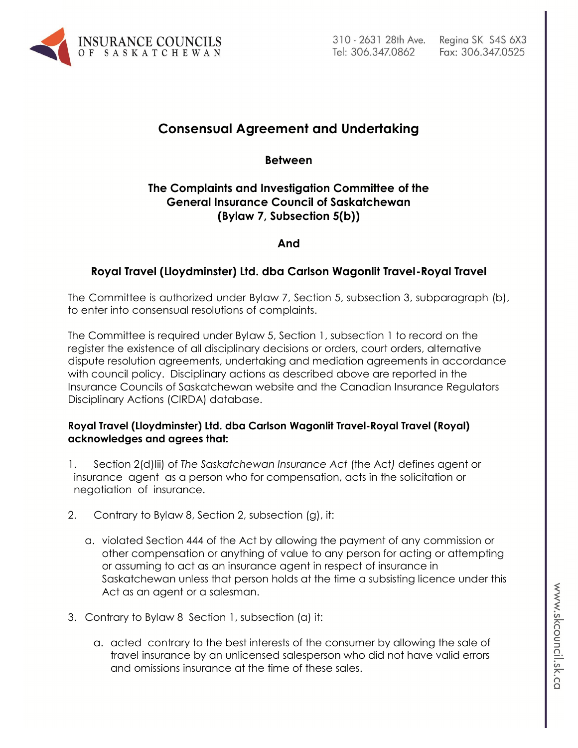

# **Consensual Agreement and Undertaking**

**Between**

## **The Complaints and Investigation Committee of the General Insurance Council of Saskatchewan (Bylaw 7, Subsection 5(b))**

**And**

## **Royal Travel (Lloydminster) Ltd. dba Carlson Wagonlit Travel-Royal Travel**

The Committee is authorized under Bylaw 7, Section 5, subsection 3, subparagraph (b), to enter into consensual resolutions of complaints.

The Committee is required under Bylaw 5, Section 1, subsection 1 to record on the register the existence of all disciplinary decisions or orders, court orders, alternative dispute resolution agreements, undertaking and mediation agreements in accordance with council policy. Disciplinary actions as described above are reported in the Insurance Councils of Saskatchewan website and the Canadian Insurance Regulators Disciplinary Actions (CIRDA) database.

#### **Royal Travel (Lloydminster) Ltd. dba Carlson Wagonlit Travel-Royal Travel (Royal) acknowledges and agrees that:**

- 1. Section 2(d)Iii) of *The Saskatchewan Insurance Act* (the Act*)* defines agent or insurance agent as a person who for compensation, acts in the solicitation or negotiation of insurance.
- 2. Contrary to Bylaw 8, Section 2, subsection (g), it:
	- a. violated Section 444 of the Act by allowing the payment of any commission or other compensation or anything of value to any person for acting or attempting or assuming to act as an insurance agent in respect of insurance in Saskatchewan unless that person holds at the time a subsisting licence under this Act as an agent or a salesman.
- 3. Contrary to Bylaw 8 Section 1, subsection (a) it:
	- a. acted contrary to the best interests of the consumer by allowing the sale of travel insurance by an unlicensed salesperson who did not have valid errors and omissions insurance at the time of these sales.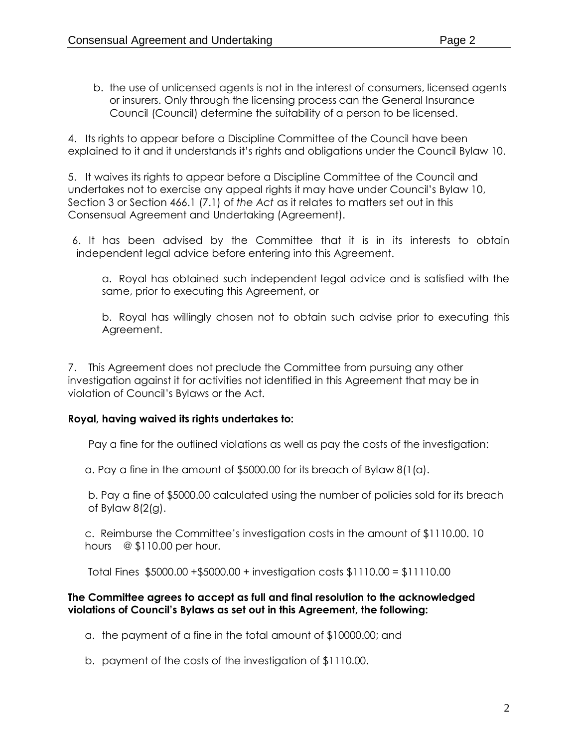4. Its rights to appear before a Discipline Committee of the Council have been explained to it and it understands it's rights and obligations under the Council Bylaw 10.

5. It waives its rights to appear before a Discipline Committee of the Council and undertakes not to exercise any appeal rights it may have under Council's Bylaw 10, Section 3 or Section 466.1 (7.1) of *the Act* as it relates to matters set out in this Consensual Agreement and Undertaking (Agreement).

6. It has been advised by the Committee that it is in its interests to obtain independent legal advice before entering into this Agreement.

a. Royal has obtained such independent legal advice and is satisfied with the same, prior to executing this Agreement, or

b. Royal has willingly chosen not to obtain such advise prior to executing this Agreement.

7. This Agreement does not preclude the Committee from pursuing any other investigation against it for activities not identified in this Agreement that may be in violation of Council's Bylaws or the Act.

### **Royal, having waived its rights undertakes to:**

Pay a fine for the outlined violations as well as pay the costs of the investigation:

a. Pay a fine in the amount of \$5000.00 for its breach of Bylaw 8(1(a).

b. Pay a fine of \$5000.00 calculated using the number of policies sold for its breach of Bylaw 8(2(g).

c. Reimburse the Committee's investigation costs in the amount of \$1110.00. 10 hours @ \$110.00 per hour.

Total Fines \$5000.00 +\$5000.00 + investigation costs \$1110.00 = \$11110.00

#### **The Committee agrees to accept as full and final resolution to the acknowledged violations of Council's Bylaws as set out in this Agreement, the following:**

- a. the payment of a fine in the total amount of \$10000.00; and
- b. payment of the costs of the investigation of \$1110.00.